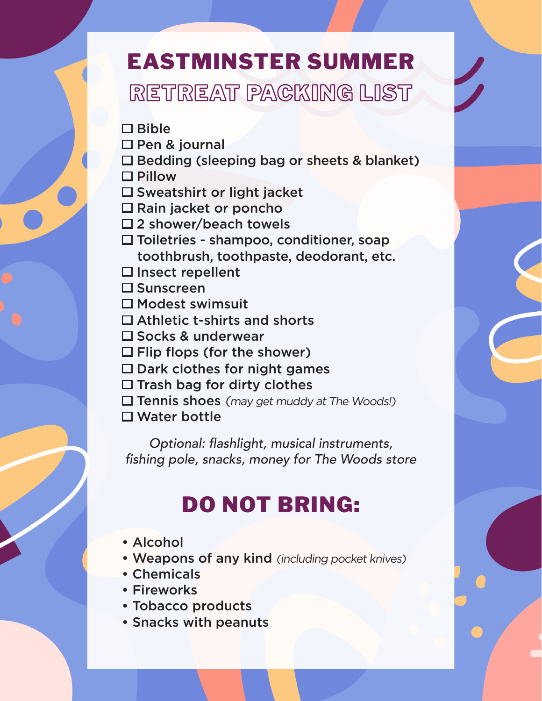## EASTMINSTER SUMMER RETREAT PACKING LIST

 $\Box$  Bible

- □ Pen & journal
- $\square$  Bedding (sleeping bag or sheets & blanket)
- □ Pillow
- $\square$  Sweatshirt or light jacket
- $\Box$  Rain jacket or poncho
- □2 shower/beach towels
- $\square$  Toiletries shampoo, conditioner, soap toothbrush, toothpaste, deodorant, etc.
- $\square$  Insect repellent
- $\square$  Sunscreen
- $\square$  Modest swimsuit
- $\Box$  Athletic t-shirts and shorts
- $\square$  Socks & underwear
- $\Box$  Flip flops (for the shower)
- $\square$  Dark clothes for night games
- $\Box$  Trash bag for dirty clothes
- $\Box$  Tennis shoes (may get muddy at The Woods!)
- □ Water bottle

*Optional:* flashlight, musical instruments, fishing pole, snacks, money for The Woods store

# DO NOT BRING:

- Alcohol
- Weapons of any kind (including pocket knives)
- Chemicals
- Fireworks
- Tobacco products
- Snacks with peanuts